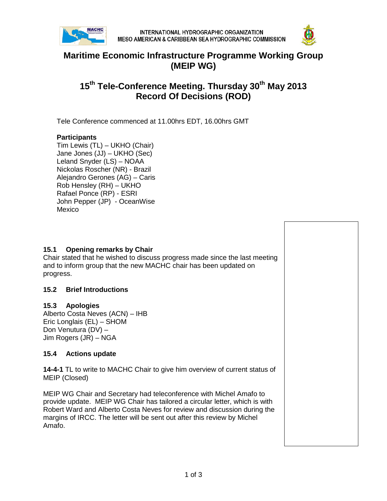



## **Maritime Economic Infrastructure Programme Working Group (MEIP WG)**

# **15th Tele-Conference Meeting. Thursday 30th May 2013 Record Of Decisions (ROD)**

Tele Conference commenced at 11.00hrs EDT, 16.00hrs GMT

## **Participants**

Tim Lewis (TL) – UKHO (Chair) Jane Jones (JJ) – UKHO (Sec) Leland Snyder (LS) – NOAA Nickolas Roscher (NR) - Brazil Alejandro Gerones (AG) – Caris Rob Hensley (RH) – UKHO Rafael Ponce (RP) - ESRI John Pepper (JP) - OceanWise Mexico

## **15.1 Opening remarks by Chair**

Chair stated that he wished to discuss progress made since the last meeting and to inform group that the new MACHC chair has been updated on progress.

### **15.2 Brief Introductions**

### **15.3 Apologies**

Alberto Costa Neves (ACN) – IHB Eric Longlais (EL) – SHOM Don Venutura (DV) – Jim Rogers (JR) – NGA

### **15.4 Actions update**

**14-4-1** TL to write to MACHC Chair to give him overview of current status of MEIP (Closed)

MEIP WG Chair and Secretary had teleconference with Michel Amafo to provide update. MEIP WG Chair has tailored a circular letter, which is with Robert Ward and Alberto Costa Neves for review and discussion during the margins of IRCC. The letter will be sent out after this review by Michel Amafo.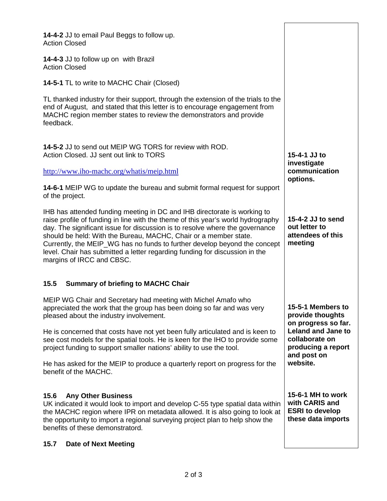| 14-4-2 JJ to email Paul Beggs to follow up.<br><b>Action Closed</b>                                                                                                                                                                                                                                                                                                                                                                                                                                       |                                                                                     |
|-----------------------------------------------------------------------------------------------------------------------------------------------------------------------------------------------------------------------------------------------------------------------------------------------------------------------------------------------------------------------------------------------------------------------------------------------------------------------------------------------------------|-------------------------------------------------------------------------------------|
| 14-4-3 JJ to follow up on with Brazil<br><b>Action Closed</b>                                                                                                                                                                                                                                                                                                                                                                                                                                             |                                                                                     |
| <b>14-5-1 TL to write to MACHC Chair (Closed)</b>                                                                                                                                                                                                                                                                                                                                                                                                                                                         |                                                                                     |
| TL thanked industry for their support, through the extension of the trials to the<br>end of August, and stated that this letter is to encourage engagement from<br>MACHC region member states to review the demonstrators and provide<br>feedback.                                                                                                                                                                                                                                                        |                                                                                     |
| 14-5-2 JJ to send out MEIP WG TORS for review with ROD.<br>Action Closed. JJ sent out link to TORS                                                                                                                                                                                                                                                                                                                                                                                                        | 15-4-1 JJ to<br>investigate                                                         |
| http://www.iho-machc.org/whatis/meip.html                                                                                                                                                                                                                                                                                                                                                                                                                                                                 | communication<br>options.                                                           |
| 14-6-1 MEIP WG to update the bureau and submit formal request for support<br>of the project.                                                                                                                                                                                                                                                                                                                                                                                                              |                                                                                     |
| IHB has attended funding meeting in DC and IHB directorate is working to<br>raise profile of funding in line with the theme of this year's world hydrography<br>day. The significant issue for discussion is to resolve where the governance<br>should be held: With the Bureau, MACHC, Chair or a member state.<br>Currently, the MEIP_WG has no funds to further develop beyond the concept<br>level. Chair has submitted a letter regarding funding for discussion in the<br>margins of IRCC and CBSC. | 15-4-2 JJ to send<br>out letter to<br>attendees of this<br>meeting                  |
| 15.5<br><b>Summary of briefing to MACHC Chair</b>                                                                                                                                                                                                                                                                                                                                                                                                                                                         |                                                                                     |
| MEIP WG Chair and Secretary had meeting with Michel Amafo who<br>appreciated the work that the group has been doing so far and was very<br>pleased about the industry involvement.                                                                                                                                                                                                                                                                                                                        | 15-5-1 Members to<br>provide thoughts<br>on progress so far.                        |
| He is concerned that costs have not yet been fully articulated and is keen to<br>see cost models for the spatial tools. He is keen for the IHO to provide some<br>project funding to support smaller nations' ability to use the tool.                                                                                                                                                                                                                                                                    | <b>Leland and Jane to</b><br>collaborate on<br>producing a report<br>and post on    |
| He has asked for the MEIP to produce a quarterly report on progress for the<br>benefit of the MACHC.                                                                                                                                                                                                                                                                                                                                                                                                      | website.                                                                            |
| 15.6<br><b>Any Other Business</b><br>UK indicated it would look to import and develop C-55 type spatial data within<br>the MACHC region where IPR on metadata allowed. It is also going to look at<br>the opportunity to import a regional surveying project plan to help show the<br>benefits of these demonstratord.                                                                                                                                                                                    | 15-6-1 MH to work<br>with CARIS and<br><b>ESRI to develop</b><br>these data imports |
| <b>Date of Next Meeting</b><br>15.7                                                                                                                                                                                                                                                                                                                                                                                                                                                                       |                                                                                     |